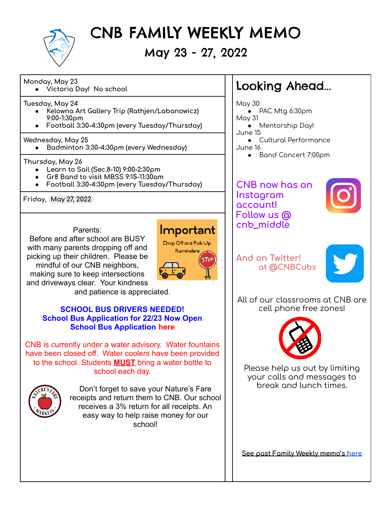

CNB FAMILY WEEKLY MEMO

### May 23 - 27, 2022

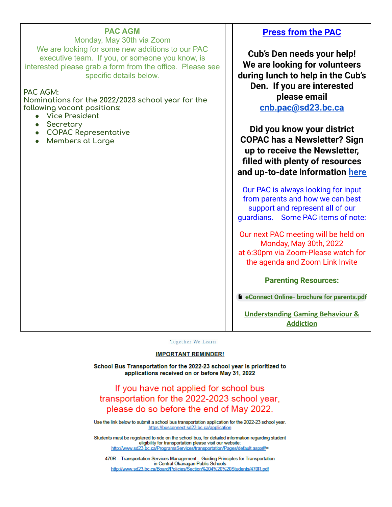Monday, May 30th via Zoom We are looking for some new additions to our PAC executive team. If you, or someone you know, is interested please grab a form from the office. Please see specific details below.

#### **PAC AGM:**

**Nominations for the 2022/2023 school year for the following vacant positions:**

- **● Vice President**
- **● Secretary**
- **● COPAC Representative**
- **● Members at Large**

### **Press from the PAC**

**Cub's Den needs your help! We are looking for volunteers during lunch to help in the Cub's Den. If you are interested please email [cnb.pac@sd23.bc.ca](mailto:cnb.pac@sd23.bc.ca)**

**Did you know your district COPAC has a Newsletter? Sign up to receive the Newsletter, filled with plenty of resources and up-to-date information [here](https://sd23.us5.list-manage.com/subscribe?u=26d02d502305515ee1a55e6b1&id=afbb3029c1)**

Our PAC is always looking for input from parents and how we can best support and represent all of our guardians. Some PAC items of note:

Our next PAC meeting will be held on Monday, May 30th, 2022 at 6:30pm via Zoom-Please watch for the agenda and Zoom Link Invite

#### **Parenting Resources:**

**eConnect Online- brochure for [parents.pdf](https://drive.google.com/file/d/1NIXv4d2S8CD6WCDkyHffRADjAi4UnVIx/view?usp=sharing)**

**[Understanding Gaming Behaviour &](https://can01.safelinks.protection.outlook.com/?url=https%3A%2F%2Fwww.gameover101.com%2Fintro&data=04%7C01%7CLynn.Bateman%40sd23.bc.ca%7Cbc7e5b0c69dc4d9a30c008d9fe2f897d%7Ca88c6e7e8efc4bc7956fe8170457f178%7C0%7C0%7C637820302379598038%7CUnknown%7CTWFpbGZsb3d8eyJWIjoiMC4wLjAwMDAiLCJQIjoiV2luMzIiLCJBTiI6Ik1haWwiLCJXVCI6Mn0%3D%7C3000&sdata=KDiuKa%2BPdZor%2BFWfzIFfN1vBKCeYa3M%2BI8f5ER%2BuIRw%3D&reserved=0) [Addiction](https://can01.safelinks.protection.outlook.com/?url=https%3A%2F%2Fwww.gameover101.com%2Fintro&data=04%7C01%7CLynn.Bateman%40sd23.bc.ca%7Cbc7e5b0c69dc4d9a30c008d9fe2f897d%7Ca88c6e7e8efc4bc7956fe8170457f178%7C0%7C0%7C637820302379598038%7CUnknown%7CTWFpbGZsb3d8eyJWIjoiMC4wLjAwMDAiLCJQIjoiV2luMzIiLCJBTiI6Ik1haWwiLCJXVCI6Mn0%3D%7C3000&sdata=KDiuKa%2BPdZor%2BFWfzIFfN1vBKCeYa3M%2BI8f5ER%2BuIRw%3D&reserved=0)**

Together We Learn

#### **IMPORTANT REMINDER!**

School Bus Transportation for the 2022-23 school year is prioritized to applications received on or before May 31, 2022

If you have not applied for school bus transportation for the 2022-2023 school year, please do so before the end of May 2022.

Use the link below to submit a school bus transportation application for the 2022-23 school year. https://busconnect.sd23.bc.ca/application

Students must be registered to ride on the school bus, for detailed information regarding student eligibility for transportation please visit our website: http://www.sd23.bc.ca/ProgramsServices/transportation/Pages/default.aspx#/=

470R - Transportation Services Management - Guiding Principles for Transportation in Central Okanagan Public Schools http://www.sd23.bc.ca/Board/Policies/Section%204%20%20Students/470R.pdf